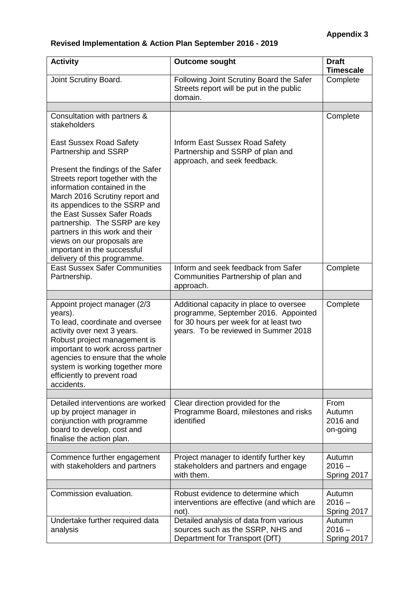| <b>Activity</b>                                                                                                                                                                                                                                                                                                                                                          | <b>Outcome sought</b>                                                                                                                                             | <b>Draft</b><br><b>Timescale</b>       |
|--------------------------------------------------------------------------------------------------------------------------------------------------------------------------------------------------------------------------------------------------------------------------------------------------------------------------------------------------------------------------|-------------------------------------------------------------------------------------------------------------------------------------------------------------------|----------------------------------------|
| Joint Scrutiny Board.                                                                                                                                                                                                                                                                                                                                                    | Following Joint Scrutiny Board the Safer<br>Streets report will be put in the public<br>domain.                                                                   | Complete                               |
|                                                                                                                                                                                                                                                                                                                                                                          |                                                                                                                                                                   |                                        |
| Consultation with partners &<br>stakeholders                                                                                                                                                                                                                                                                                                                             |                                                                                                                                                                   | Complete                               |
| <b>East Sussex Road Safety</b><br>Partnership and SSRP                                                                                                                                                                                                                                                                                                                   | <b>Inform East Sussex Road Safety</b><br>Partnership and SSRP of plan and<br>approach, and seek feedback.                                                         |                                        |
| Present the findings of the Safer<br>Streets report together with the<br>information contained in the<br>March 2016 Scrutiny report and<br>its appendices to the SSRP and<br>the East Sussex Safer Roads<br>partnership. The SSRP are key<br>partners in this work and their<br>views on our proposals are<br>important in the successful<br>delivery of this programme. |                                                                                                                                                                   |                                        |
| <b>East Sussex Safer Communities</b><br>Partnership.                                                                                                                                                                                                                                                                                                                     | Inform and seek feedback from Safer<br>Communities Partnership of plan and<br>approach.                                                                           | Complete                               |
|                                                                                                                                                                                                                                                                                                                                                                          |                                                                                                                                                                   |                                        |
| Appoint project manager (2/3<br>years).<br>To lead, coordinate and oversee<br>activity over next 3 years.<br>Robust project management is<br>important to work across partner<br>agencies to ensure that the whole<br>system is working together more<br>efficiently to prevent road<br>accidents.                                                                       | Additional capacity in place to oversee<br>programme, September 2016. Appointed<br>for 30 hours per week for at least two<br>years. To be reviewed in Summer 2018 | Complete                               |
|                                                                                                                                                                                                                                                                                                                                                                          |                                                                                                                                                                   |                                        |
| Detailed interventions are worked<br>up by project manager in<br>conjunction with programme<br>board to develop, cost and<br>finalise the action plan.                                                                                                                                                                                                                   | Clear direction provided for the<br>Programme Board, milestones and risks<br>identified                                                                           | From<br>Autumn<br>2016 and<br>on-going |
|                                                                                                                                                                                                                                                                                                                                                                          |                                                                                                                                                                   |                                        |
| Commence further engagement<br>with stakeholders and partners                                                                                                                                                                                                                                                                                                            | Project manager to identify further key<br>stakeholders and partners and engage<br>with them.                                                                     | Autumn<br>$2016 -$<br>Spring 2017      |
| Commission evaluation.                                                                                                                                                                                                                                                                                                                                                   | Robust evidence to determine which<br>interventions are effective (and which are<br>not).                                                                         | Autumn<br>$2016 -$<br>Spring 2017      |
| Undertake further required data<br>analysis                                                                                                                                                                                                                                                                                                                              | Detailed analysis of data from various<br>sources such as the SSRP, NHS and<br>Department for Transport (DfT)                                                     | Autumn<br>$2016 -$<br>Spring 2017      |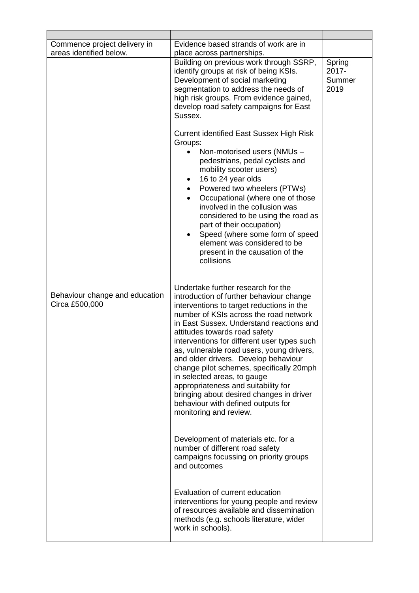| Commence project delivery in<br>areas identified below. | Evidence based strands of work are in<br>place across partnerships.                                                                                                                                                                                                                                                                                                                                                                                                                                                                                                                                                  |                                   |
|---------------------------------------------------------|----------------------------------------------------------------------------------------------------------------------------------------------------------------------------------------------------------------------------------------------------------------------------------------------------------------------------------------------------------------------------------------------------------------------------------------------------------------------------------------------------------------------------------------------------------------------------------------------------------------------|-----------------------------------|
|                                                         | Building on previous work through SSRP,<br>identify groups at risk of being KSIs.<br>Development of social marketing<br>segmentation to address the needs of<br>high risk groups. From evidence gained,<br>develop road safety campaigns for East<br>Sussex.                                                                                                                                                                                                                                                                                                                                                         | Spring<br>2017-<br>Summer<br>2019 |
|                                                         | <b>Current identified East Sussex High Risk</b><br>Groups:<br>Non-motorised users (NMUs -<br>$\bullet$<br>pedestrians, pedal cyclists and<br>mobility scooter users)<br>16 to 24 year olds<br>Powered two wheelers (PTWs)<br>$\bullet$<br>Occupational (where one of those<br>$\bullet$<br>involved in the collusion was<br>considered to be using the road as<br>part of their occupation)<br>Speed (where some form of speed<br>٠<br>element was considered to be<br>present in the causation of the<br>collisions                                                                                                 |                                   |
| Behaviour change and education<br>Circa £500,000        | Undertake further research for the<br>introduction of further behaviour change<br>interventions to target reductions in the<br>number of KSIs across the road network<br>in East Sussex. Understand reactions and<br>attitudes towards road safety<br>interventions for different user types such<br>as, vulnerable road users, young drivers,<br>and older drivers. Develop behaviour<br>change pilot schemes, specifically 20mph<br>in selected areas, to gauge<br>appropriateness and suitability for<br>bringing about desired changes in driver<br>behaviour with defined outputs for<br>monitoring and review. |                                   |
|                                                         | Development of materials etc. for a<br>number of different road safety<br>campaigns focussing on priority groups<br>and outcomes                                                                                                                                                                                                                                                                                                                                                                                                                                                                                     |                                   |
|                                                         | Evaluation of current education<br>interventions for young people and review<br>of resources available and dissemination<br>methods (e.g. schools literature, wider<br>work in schools).                                                                                                                                                                                                                                                                                                                                                                                                                             |                                   |